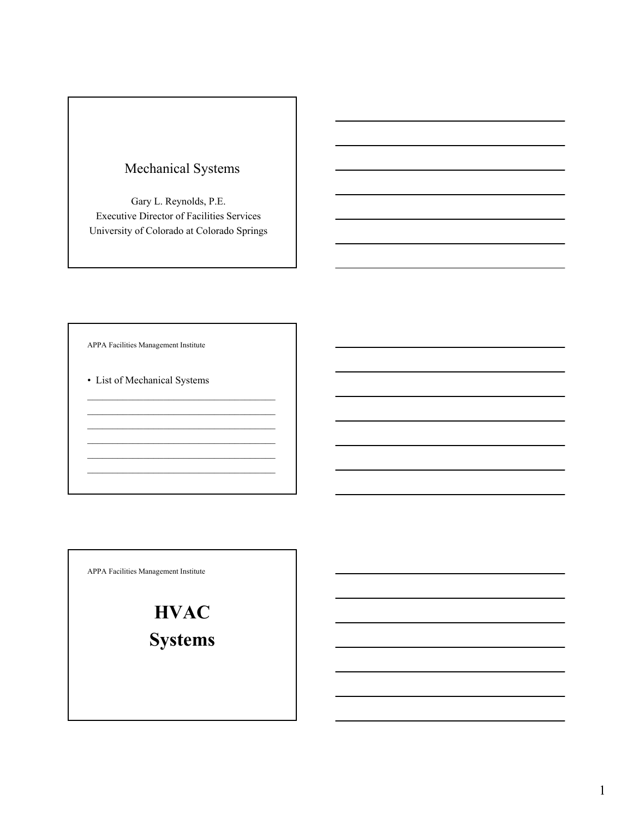## Mechanical Systems

Gary L. Reynolds, P.E. Executive Director of Facilities Services University of Colorado at Colorado Springs

APPA Facilities Management Institute

• List of Mechanical Systems

 $\mathcal{L}_\text{max}$  , where  $\mathcal{L}_\text{max}$  and  $\mathcal{L}_\text{max}$  and  $\mathcal{L}_\text{max}$  $\mathcal{L}_\text{max}$  , and the set of the set of the set of the set of the set of the set of the set of the set of the set of the set of the set of the set of the set of the set of the set of the set of the set of the set of the

APPA Facilities Management Institute

**HVAC**

**Systems**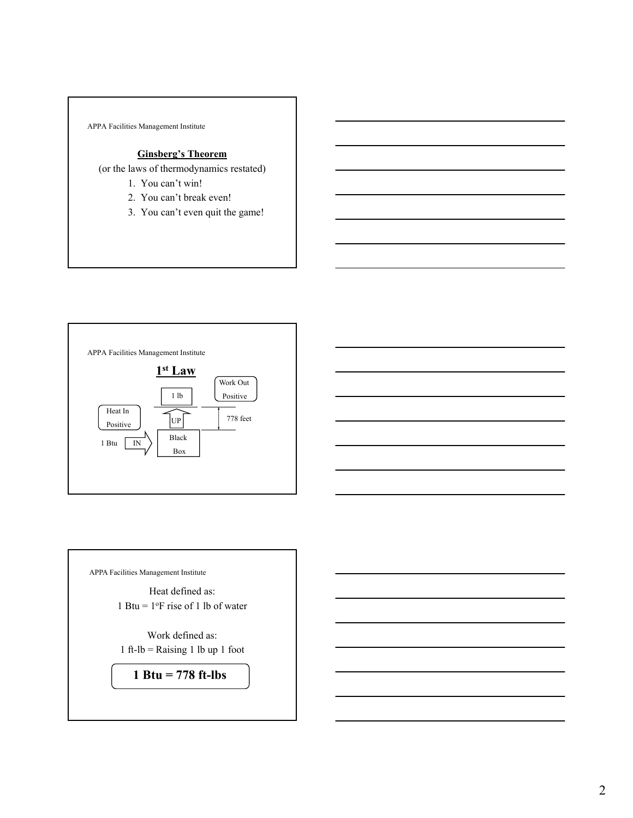

## **Ginsberg's Theorem**

(or the laws of thermodynamics restated)

- 1. You can't win!
- 2. You can't break even!
- 3. You can't even quit the game!



APPA Facilities Management Institute

Heat defined as: 1 Btu =  $1^{\circ}$ F rise of 1 lb of water

Work defined as: 1 ft-lb = Raising 1 lb up 1 foot

**1 Btu = 778 ft-lbs**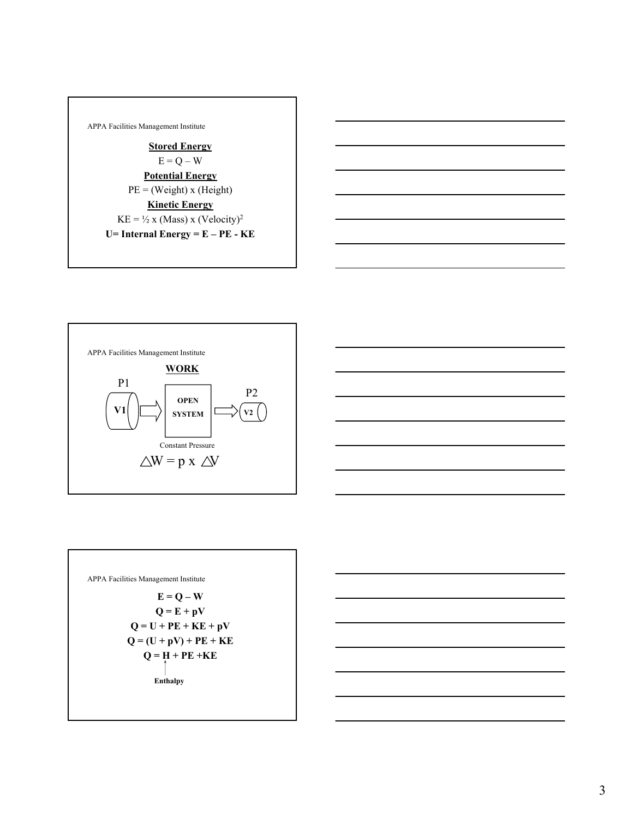





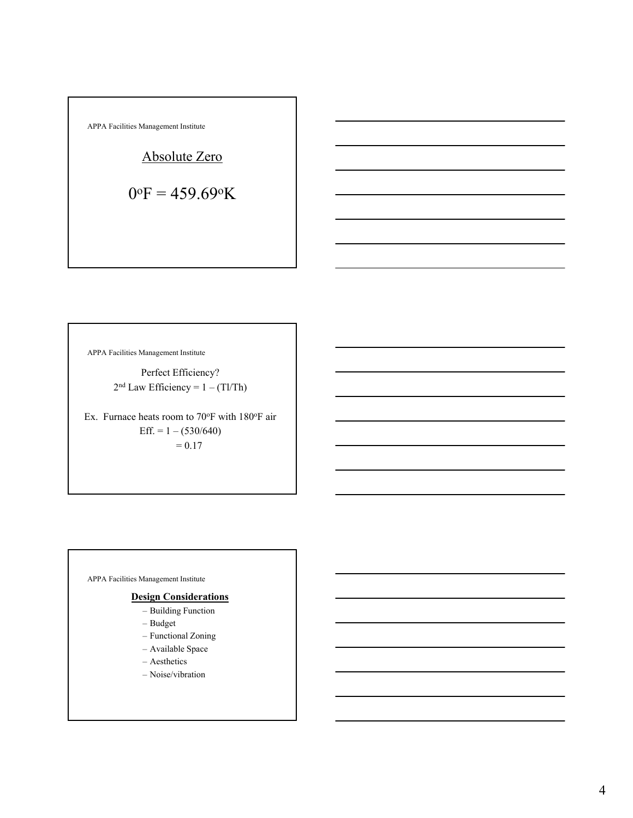$$
\begin{array}{|l|} \hline \text{APPA Facilities Management Institute} \\ \hline \text{Absolute Zero} \\ \hline \text{O}^\text{OF} = 459.69^\text{o} \text{K} \end{array}
$$

г

APPA Facilities Management Institute

Perfect Efficiency?  $2<sup>nd</sup> Law Efficiency = 1 - (Tl/Th)$ 

Ex. Furnace heats room to  $70^{\circ}$ F with  $180^{\circ}$ F air Eff. =  $1 - (530/640)$  $= 0.17$ 

APPA Facilities Management Institute

## **Design Considerations**

- Building Function
- Budget
- Functional Zoning
- Available Space
- Aesthetics
- Noise/vibration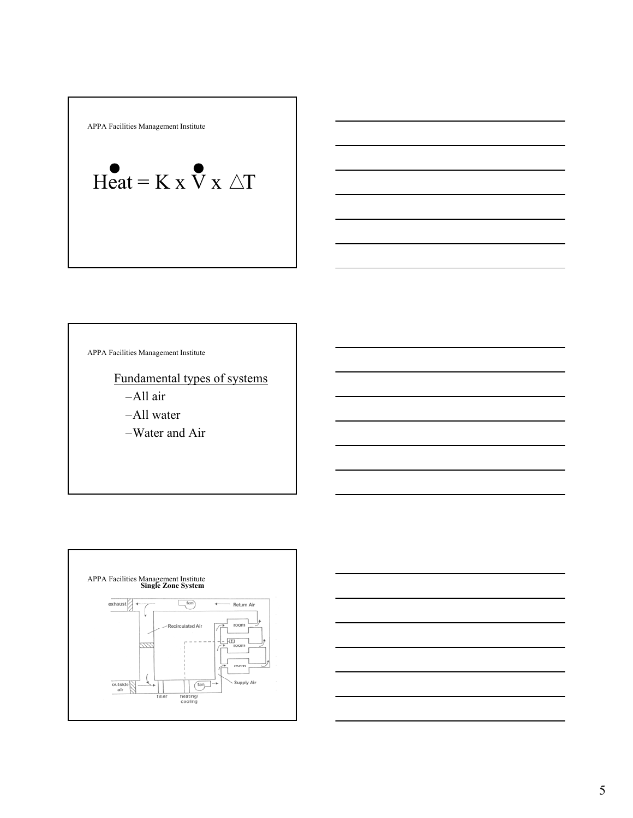APPA Facilities Management Institute

$$
\text{Heat} = K \times \mathbf{V} \times \triangle T
$$

APPA Facilities Management Institute

Fundamental types of systems

–All air

–All water

–Water and Air



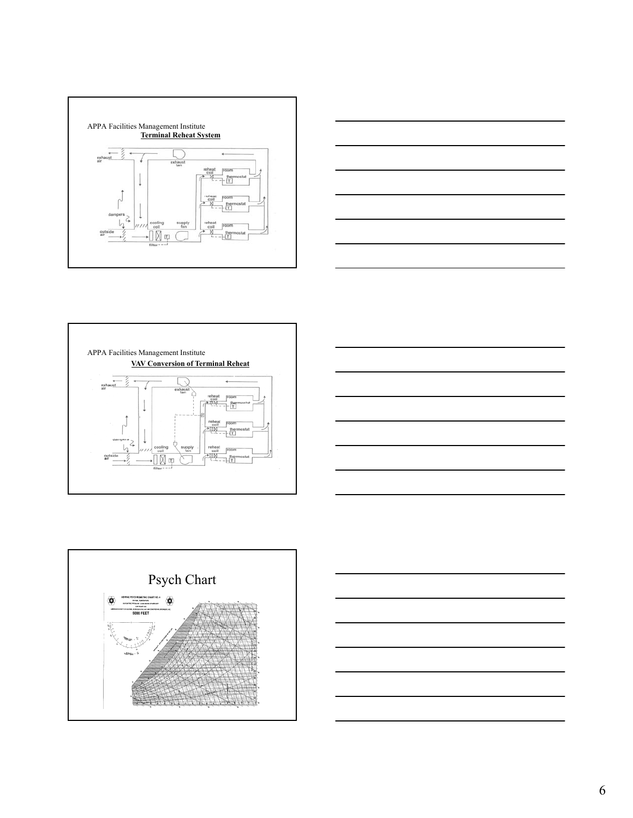









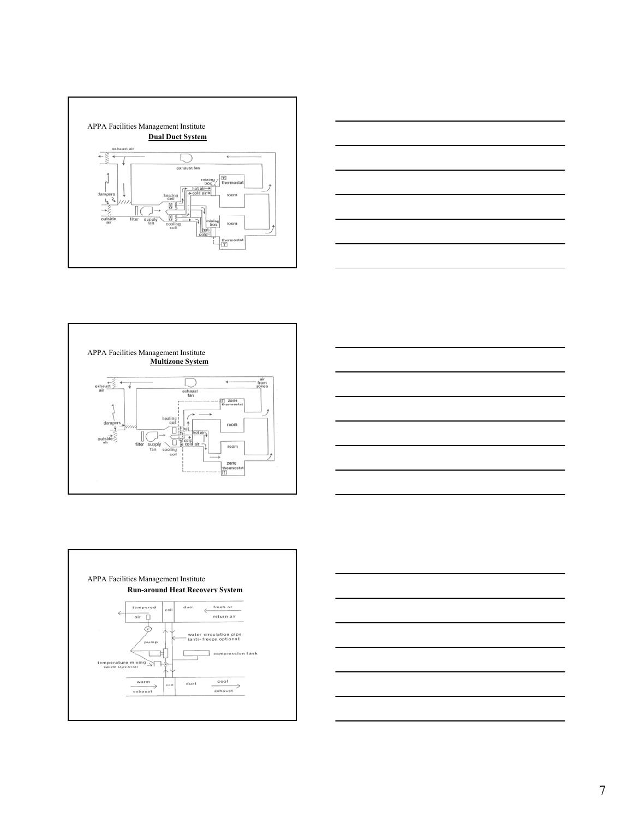









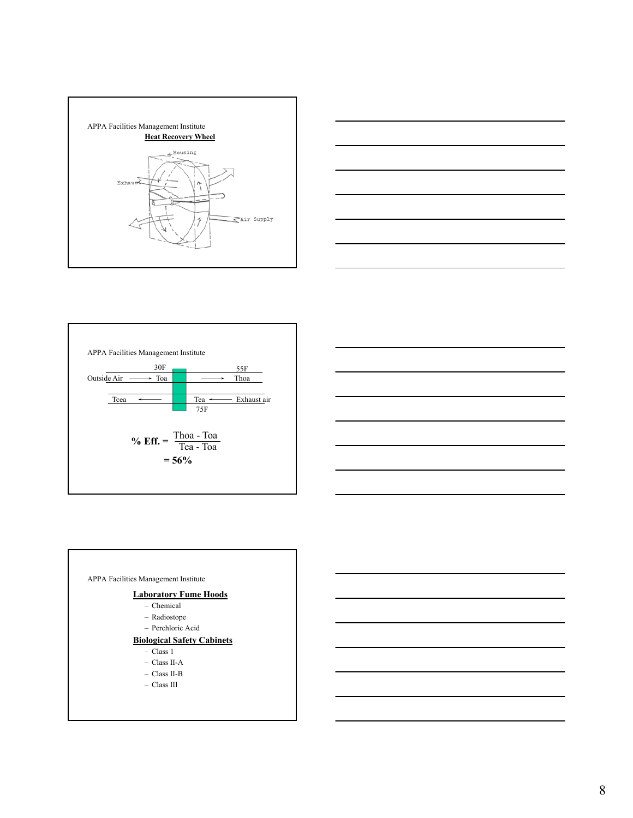







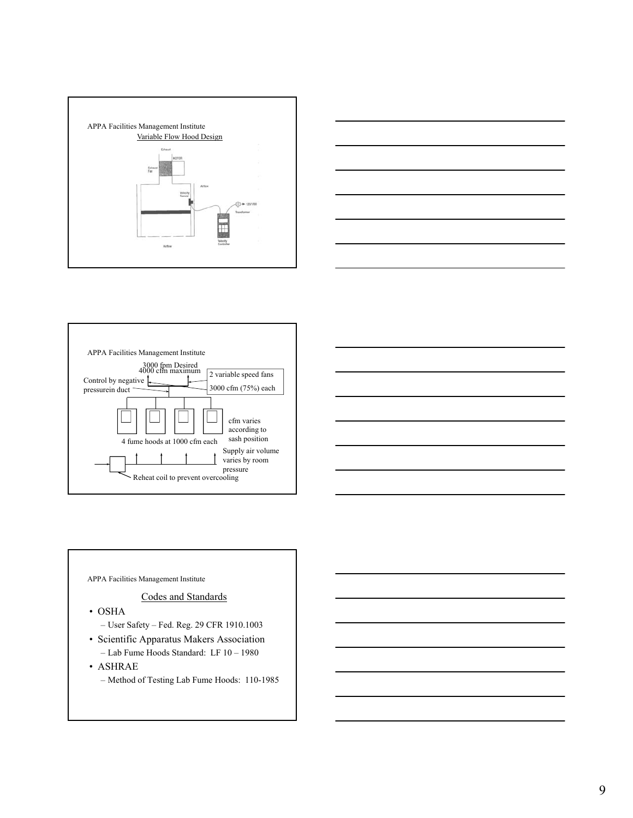







APPA Facilities Management Institute

## Codes and Standards

- OSHA
	- User Safety Fed. Reg. 29 CFR 1910.1003
- Scientific Apparatus Makers Association – Lab Fume Hoods Standard: LF 10 – 1980
- ASHRAE
	- Method of Testing Lab Fume Hoods: 110-1985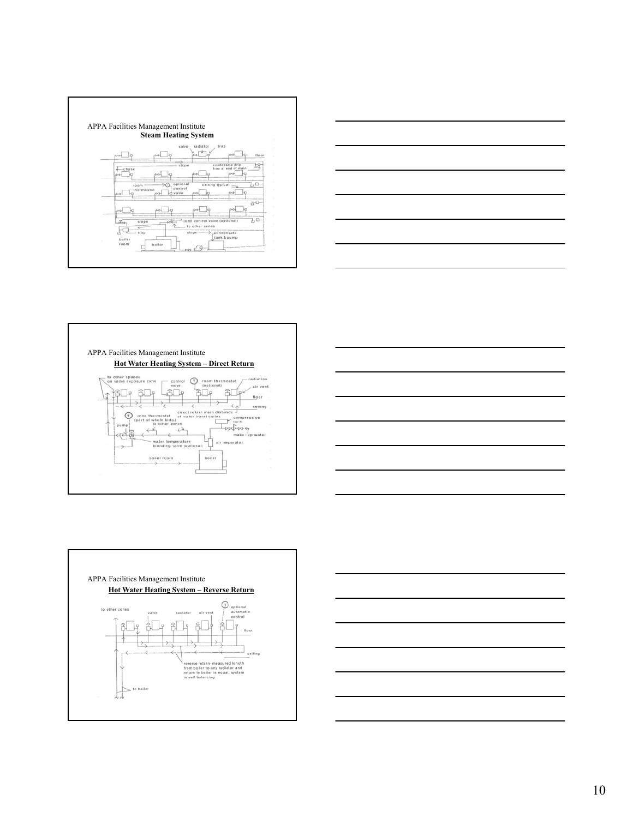









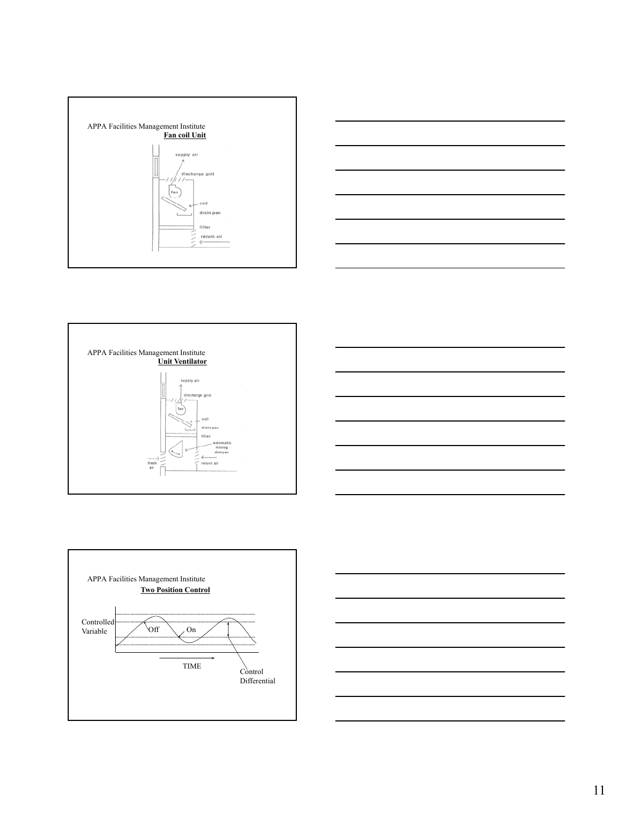









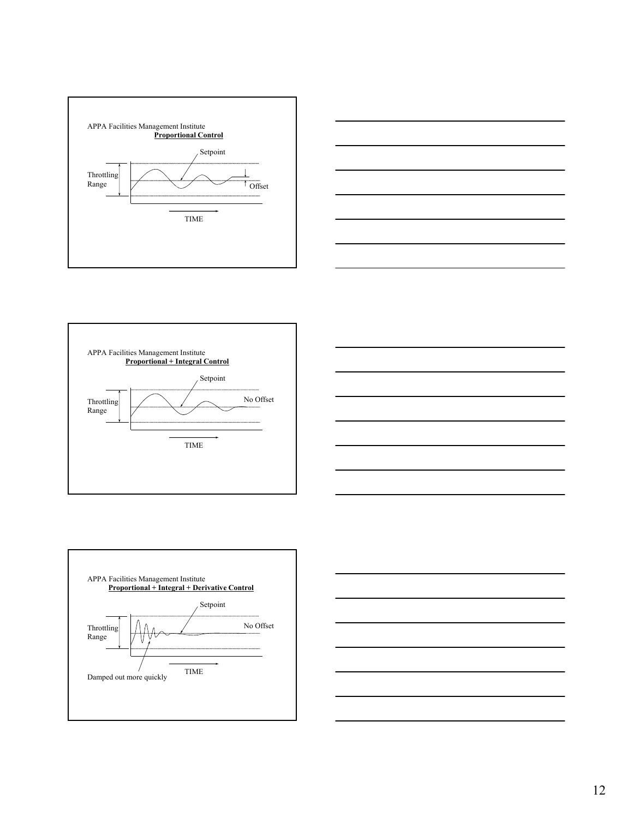









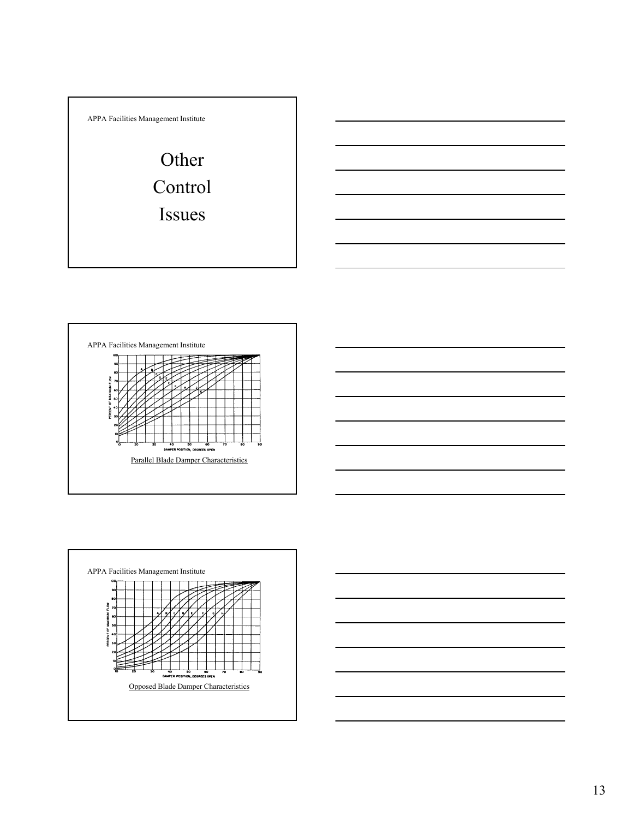







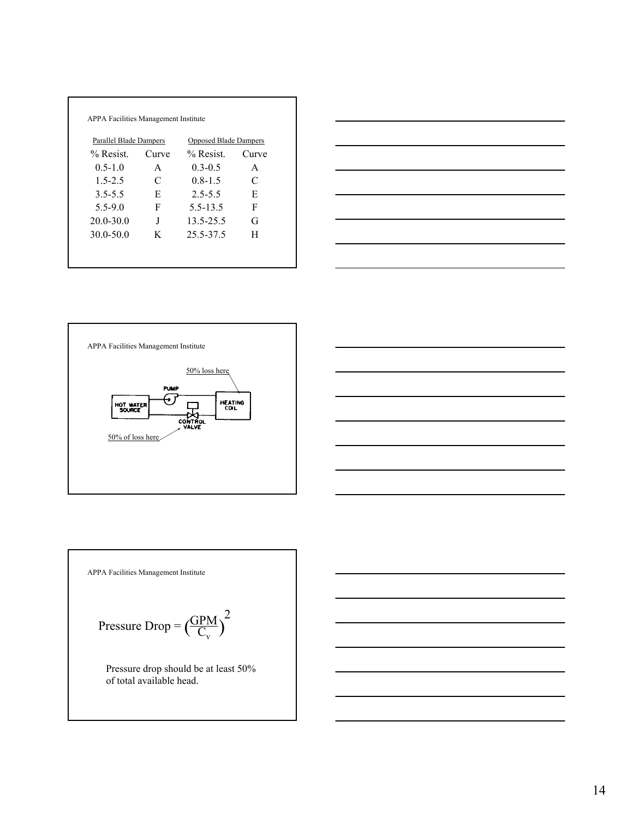| Parallel Blade Dampers |       | <b>Opposed Blade Dampers</b> |       |  |
|------------------------|-------|------------------------------|-------|--|
| $%$ Resist.            | Curve | $%$ Resist.                  | Curve |  |
| $0.5 - 1.0$            | A     | $0.3 - 0.5$                  | A     |  |
| $1.5 - 2.5$            | C     | $0.8 - 1.5$                  | C     |  |
| $3.5 - 5.5$            | E     | $2.5 - 5.5$                  | E     |  |
| $5.5 - 9.0$            | F     | 5.5-13.5                     | F     |  |
| $20.0 - 30.0$          | J     | 13.5-25.5                    | G     |  |
| $30.0 - 50.0$          | K     | 25.5-37.5                    | H     |  |





APPA Facilities Management Institute GPM Pressure Drop =  $\left(\frac{GPM}{C_v}\right)$ 2 Pressure drop should be at least 50% of total available head.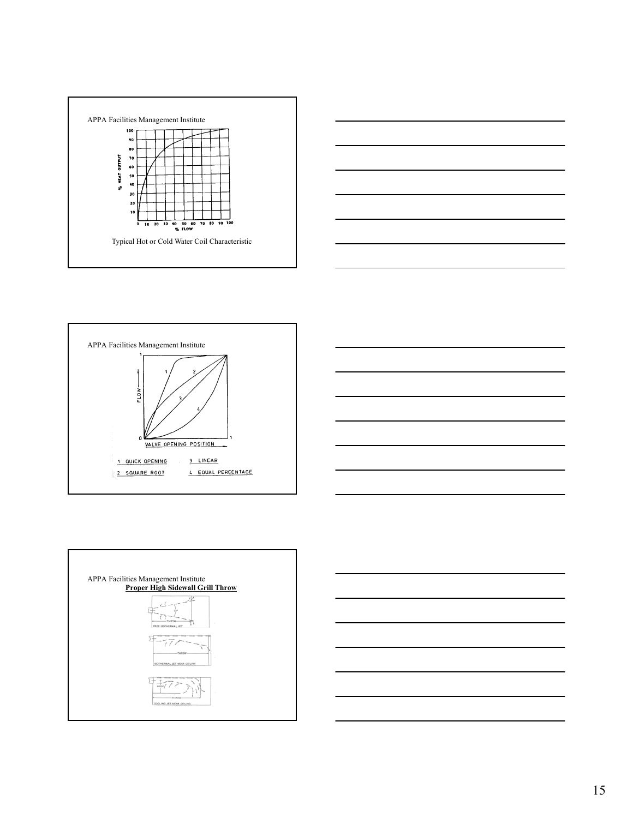









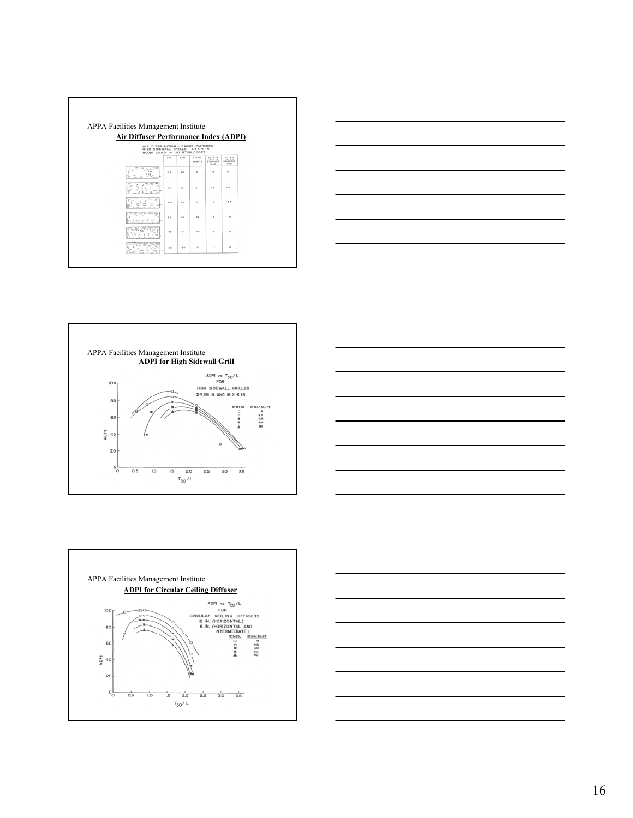| Air Diffuser Performance Index (ADPI)                                                   |             |             | APPA Facilities Management Institute |                                                    |                                               |        |
|-----------------------------------------------------------------------------------------|-------------|-------------|--------------------------------------|----------------------------------------------------|-----------------------------------------------|--------|
| AIR DISTRIBUTION - SMOKE PATTERNS<br>HIGH SIDEWALL GRILLE<br>ROOM LOAD = 20 BTUH / SQFT |             |             | 24 X 6 IN.                           |                                                    |                                               |        |
|                                                                                         | <b>CITM</b> | <b>AGPS</b> | v > 70<br><b><i>BRAFTY</i></b>       | $A T = -8$<br>$-1 - 1$<br><b>STAGINANT</b><br>COLB | A T < 5<br>$= 10$<br><b>STAGNANT</b><br>80.05 |        |
|                                                                                         | 0.8         | $^{44}$     | $\overline{\phantom{a}}$             | ٠                                                  | m.                                            | ×      |
|                                                                                         | 1, 0        | 74          | ٠                                    | 16                                                 | $\cdots$                                      | ×<br>× |
|                                                                                         | 3.0         | $\cdots$    | $\ddot{\phantom{a}}$                 | ٠                                                  | $\cdots$                                      | ×      |
|                                                                                         | 8.0         | $T=$        | 64                                   | ×                                                  | ٠                                             | ×      |
|                                                                                         | $60 - 100$  | ×.          | <b>HT</b>                            | ٠                                                  | ٠                                             | ×      |









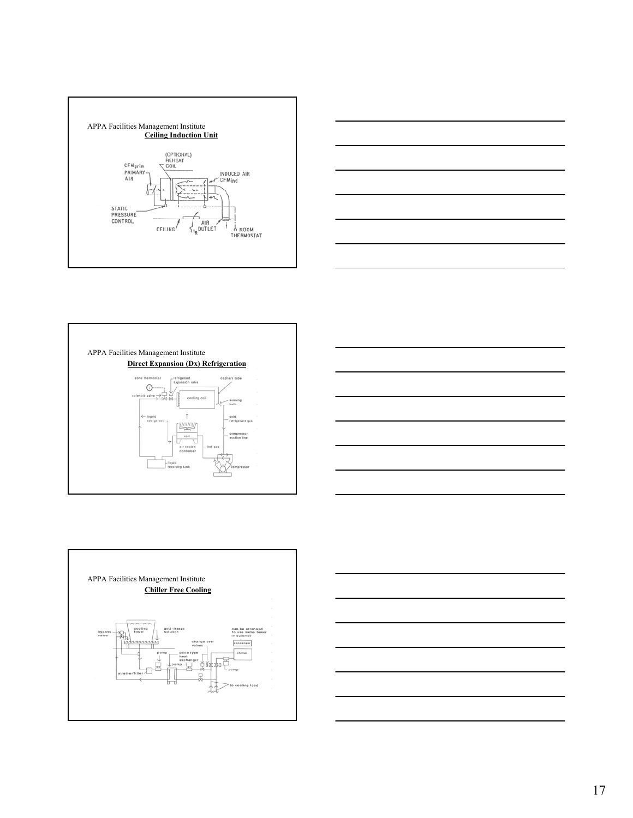









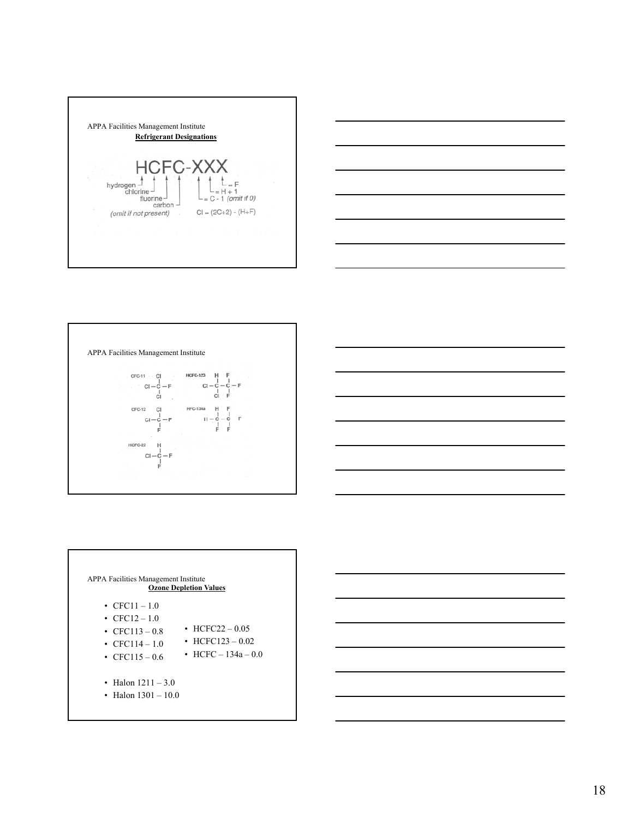







| <b>APPA Facilities Management Institute</b><br>• $CFC11 - 1.0$<br>• $CEC12 - 1.0$ | <b>Ozone Depletion Values</b>                                |
|-----------------------------------------------------------------------------------|--------------------------------------------------------------|
| • CFC113 – 0.8<br>• CFC114 $-1.0$<br>• CFC115 – 0.6                               | • HCFC22 $-0.05$<br>• HCFC123 – 0.02<br>• HCFC $-134a - 0.0$ |
| • Halon $1211 - 3.0$<br>• Halon $1301 - 10.0$                                     |                                                              |